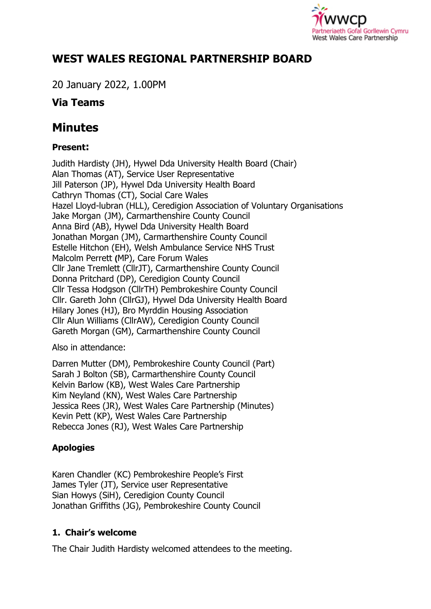

# **WEST WALES REGIONAL PARTNERSHIP BOARD**

20 January 2022, 1.00PM

# **Via Teams**

# **Minutes**

## **Present:**

Judith Hardisty (JH), Hywel Dda University Health Board (Chair) Alan Thomas (AT), Service User Representative Jill Paterson (JP), Hywel Dda University Health Board Cathryn Thomas (CT), Social Care Wales Hazel Lloyd-lubran (HLL), Ceredigion Association of Voluntary Organisations Jake Morgan (JM), Carmarthenshire County Council Anna Bird (AB), Hywel Dda University Health Board Jonathan Morgan (JM), Carmarthenshire County Council Estelle Hitchon (EH), Welsh Ambulance Service NHS Trust Malcolm Perrett **(**MP), Care Forum Wales Cllr Jane Tremlett (CllrJT), Carmarthenshire County Council Donna Pritchard (DP), Ceredigion County Council Cllr Tessa Hodgson (CllrTH) Pembrokeshire County Council Cllr. Gareth John (CllrGJ), Hywel Dda University Health Board Hilary Jones (HJ), Bro Myrddin Housing Association Cllr Alun Williams (CllrAW), Ceredigion County Council Gareth Morgan (GM), Carmarthenshire County Council

Also in attendance:

Darren Mutter (DM), Pembrokeshire County Council (Part) Sarah J Bolton (SB), Carmarthenshire County Council Kelvin Barlow (KB), West Wales Care Partnership Kim Neyland (KN), West Wales Care Partnership Jessica Rees (JR), West Wales Care Partnership (Minutes) Kevin Pett (KP), West Wales Care Partnership Rebecca Jones (RJ), West Wales Care Partnership

# **Apologies**

Karen Chandler (KC) Pembrokeshire People's First James Tyler (JT), Service user Representative Sian Howys (SiH), Ceredigion County Council Jonathan Griffiths (JG), Pembrokeshire County Council

# **1. Chair's welcome**

The Chair Judith Hardisty welcomed attendees to the meeting.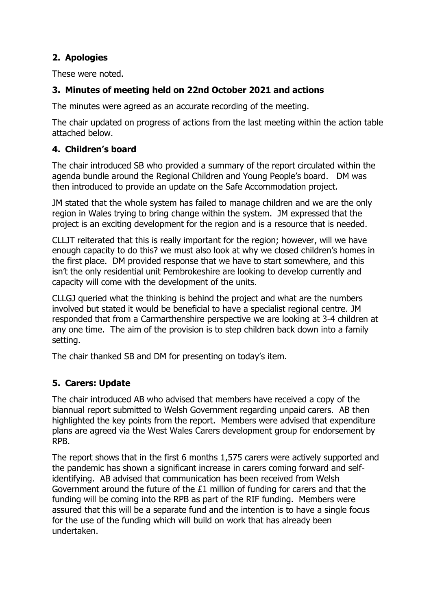## **2. Apologies**

These were noted.

## **3. Minutes of meeting held on 22nd October 2021 and actions**

The minutes were agreed as an accurate recording of the meeting.

The chair updated on progress of actions from the last meeting within the action table attached below.

### **4. Children's board**

The chair introduced SB who provided a summary of the report circulated within the agenda bundle around the Regional Children and Young People's board. DM was then introduced to provide an update on the Safe Accommodation project.

JM stated that the whole system has failed to manage children and we are the only region in Wales trying to bring change within the system. JM expressed that the project is an exciting development for the region and is a resource that is needed.

CLLJT reiterated that this is really important for the region; however, will we have enough capacity to do this? we must also look at why we closed children's homes in the first place. DM provided response that we have to start somewhere, and this isn't the only residential unit Pembrokeshire are looking to develop currently and capacity will come with the development of the units.

CLLGJ queried what the thinking is behind the project and what are the numbers involved but stated it would be beneficial to have a specialist regional centre. JM responded that from a Carmarthenshire perspective we are looking at 3-4 children at any one time. The aim of the provision is to step children back down into a family setting.

The chair thanked SB and DM for presenting on today's item.

## **5. Carers: Update**

The chair introduced AB who advised that members have received a copy of the biannual report submitted to Welsh Government regarding unpaid carers. AB then highlighted the key points from the report. Members were advised that expenditure plans are agreed via the West Wales Carers development group for endorsement by RPB.

The report shows that in the first 6 months 1,575 carers were actively supported and the pandemic has shown a significant increase in carers coming forward and selfidentifying. AB advised that communication has been received from Welsh Government around the future of the £1 million of funding for carers and that the funding will be coming into the RPB as part of the RIF funding. Members were assured that this will be a separate fund and the intention is to have a single focus for the use of the funding which will build on work that has already been undertaken.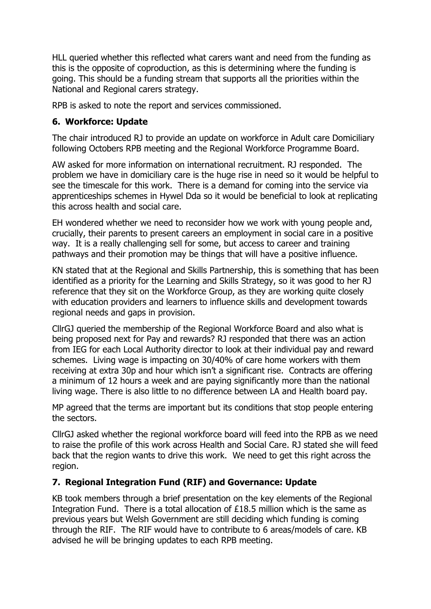HLL queried whether this reflected what carers want and need from the funding as this is the opposite of coproduction, as this is determining where the funding is going. This should be a funding stream that supports all the priorities within the National and Regional carers strategy.

RPB is asked to note the report and services commissioned.

## **6. Workforce: Update**

The chair introduced RJ to provide an update on workforce in Adult care Domiciliary following Octobers RPB meeting and the Regional Workforce Programme Board.

AW asked for more information on international recruitment. RJ responded. The problem we have in domiciliary care is the huge rise in need so it would be helpful to see the timescale for this work. There is a demand for coming into the service via apprenticeships schemes in Hywel Dda so it would be beneficial to look at replicating this across health and social care.

EH wondered whether we need to reconsider how we work with young people and, crucially, their parents to present careers an employment in social care in a positive way. It is a really challenging sell for some, but access to career and training pathways and their promotion may be things that will have a positive influence.

KN stated that at the Regional and Skills Partnership, this is something that has been identified as a priority for the Learning and Skills Strategy, so it was good to her RJ reference that they sit on the Workforce Group, as they are working quite closely with education providers and learners to influence skills and development towards regional needs and gaps in provision.

CllrGJ queried the membership of the Regional Workforce Board and also what is being proposed next for Pay and rewards? RJ responded that there was an action from IEG for each Local Authority director to look at their individual pay and reward schemes. Living wage is impacting on 30/40% of care home workers with them receiving at extra 30p and hour which isn't a significant rise. Contracts are offering a minimum of 12 hours a week and are paying significantly more than the national living wage. There is also little to no difference between LA and Health board pay.

MP agreed that the terms are important but its conditions that stop people entering the sectors.

CllrGJ asked whether the regional workforce board will feed into the RPB as we need to raise the profile of this work across Health and Social Care. RJ stated she will feed back that the region wants to drive this work. We need to get this right across the region.

#### **7. Regional Integration Fund (RIF) and Governance: Update**

KB took members through a brief presentation on the key elements of the Regional Integration Fund. There is a total allocation of £18.5 million which is the same as previous years but Welsh Government are still deciding which funding is coming through the RIF. The RIF would have to contribute to 6 areas/models of care. KB advised he will be bringing updates to each RPB meeting.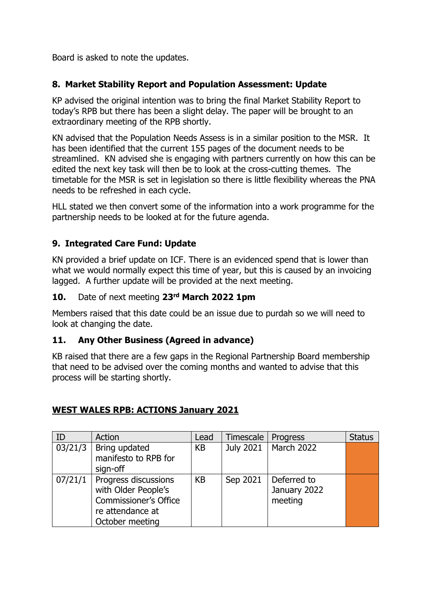Board is asked to note the updates.

#### **8. Market Stability Report and Population Assessment: Update**

KP advised the original intention was to bring the final Market Stability Report to today's RPB but there has been a slight delay. The paper will be brought to an extraordinary meeting of the RPB shortly.

KN advised that the Population Needs Assess is in a similar position to the MSR. It has been identified that the current 155 pages of the document needs to be streamlined. KN advised she is engaging with partners currently on how this can be edited the next key task will then be to look at the cross-cutting themes. The timetable for the MSR is set in legislation so there is little flexibility whereas the PNA needs to be refreshed in each cycle.

HLL stated we then convert some of the information into a work programme for the partnership needs to be looked at for the future agenda.

#### **9. Integrated Care Fund: Update**

KN provided a brief update on ICF. There is an evidenced spend that is lower than what we would normally expect this time of year, but this is caused by an invoicing lagged. A further update will be provided at the next meeting.

#### **10.** Date of next meeting **23rd March 2022 1pm**

Members raised that this date could be an issue due to purdah so we will need to look at changing the date.

#### **11. Any Other Business (Agreed in advance)**

KB raised that there are a few gaps in the Regional Partnership Board membership that need to be advised over the coming months and wanted to advise that this process will be starting shortly.

| ID | Action                                                                                                                         | Lead      | Timescale        | Progress                               | <b>Status</b> |
|----|--------------------------------------------------------------------------------------------------------------------------------|-----------|------------------|----------------------------------------|---------------|
|    | $03/21/3$ Bring updated<br>manifesto to RPB for<br>sign-off                                                                    | <b>KB</b> | <b>July 2021</b> | March 2022                             |               |
|    | $07/21/1$   Progress discussions<br>with Older People's<br><b>Commissioner's Office</b><br>re attendance at<br>October meeting | <b>KB</b> | Sep 2021         | Deferred to<br>January 2022<br>meeting |               |

#### **WEST WALES RPB: ACTIONS January 2021**